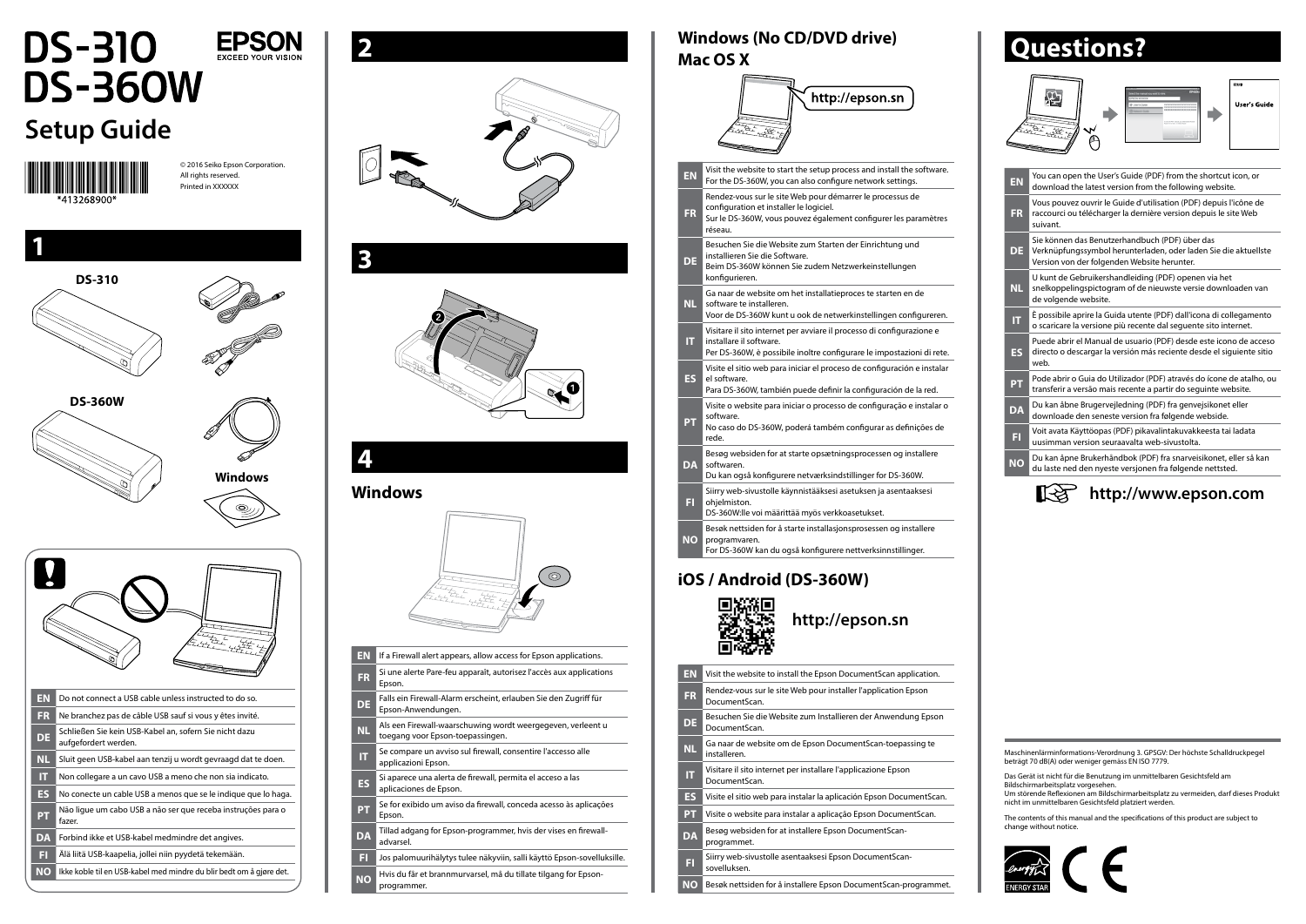## **DS-310 EPSON DS-360W Setup Guide** © 2016 Seiko Epson Corporation. All rights reserved. Printed in XXXXXX **1 DS-310 DS-360W Windows** K **EN** Do not connect a USB cable unless instructed to do so. **FR** Ne branchez pas de câble USB sauf si vous y êtes invité. **DE** Schließen Sie kein USB-Kabel an, sofern Sie nicht dazu aufgefordert werden. **NL** Sluit geen USB-kabel aan tenzij u wordt gevraagd dat te doen. **IT** Non collegare a un cavo USB a meno che non sia indicato. **ES** No conecte un cable USB a menos que se le indique que lo haga. **PT** Não ligue um cabo USB a não ser que receba instruções para o fazer. **DA** Forbind ikke et USB-kabel medmindre det angives. **FI** Älä liitä USB-kaapelia, jollei niin pyydetä tekemään. **NO** Ikke koble til en USB-kabel med mindre du blir bedt om å gjøre det.



# **4**

**EN** If a Firewall alert appears, allow access for Epson applications. **FR** Si une alerte Pare-feu apparaît, autorisez l'accès aux applications Epson. **DE** Falls ein Firewall-Alarm erscheint, erlauben Sie den Zugriff für Epson-Anwendungen. **NL** Als een Firewall-waarschuwing wordt weergegeven, verleent u toegang voor Epson-toepassingen. **IT** Se compare un avviso sul firewall, consentire l'accesso alle applicazioni Epson. **ES** Si aparece una alerta de firewall, permita el acceso a las aplicaciones de Epson. **PT** Se for exibido um aviso da firewall, conceda acesso às aplicações Epson. **DA** Tillad adgang for Epson-programmer, hvis der vises en firewalladvarsel. **FI** Jos palomuurihälytys tulee näkyviin, salli käyttö Epson-sovelluksille. **NO** Hvis du får et brannmurvarsel, må du tillate tilgang for Epson-

#### **Windows**



|           | http://epson.sn                                                                                                                                                                    |
|-----------|------------------------------------------------------------------------------------------------------------------------------------------------------------------------------------|
| <b>EN</b> | Visit the website to start the setup process and install the software.<br>For the DS-360W, you can also configure network settings.                                                |
| <b>FR</b> | Rendez-vous sur le site Web pour démarrer le processus de<br>configuration et installer le logiciel.<br>Sur le DS-360W, vous pouvez également configurer les paramètres<br>réseau. |
| DE        | Besuchen Sie die Website zum Starten der Einrichtung und<br>installieren Sie die Software.<br>Beim DS-360W können Sie zudem Netzwerkeinstellungen<br>konfigurieren.                |
| <b>NL</b> | Ga naar de website om het installatieproces te starten en de<br>software te installeren.<br>Voor de DS-360W kunt u ook de netwerkinstellingen configureren.                        |
| IT.       | Visitare il sito internet per avviare il processo di configurazione e<br>installare il software.<br>Per DS-360W, è possibile inoltre configurare le impostazioni di rete.          |
| <b>ES</b> | Visite el sitio web para iniciar el proceso de configuración e instalar<br>el software.<br>Para DS-360W, también puede definir la configuración de la red.                         |
| PT        | Visite o website para iniciar o processo de configuração e instalar o<br>software.<br>No caso do DS-360W, poderá também configurar as definições de<br>rede.                       |
| DA        | Besøg websiden for at starte opsætningsprocessen og installere<br>softwaren.<br>Du kan også konfigurere netværksindstillinger for DS-360W.                                         |
| ы         | Siirry web-sivustolle käynnistääksesi asetuksen ja asentaaksesi<br>ohjelmiston.<br>DS-360W:lle voi määrittää myös verkkoasetukset.                                                 |
| NO        | Besøk nettsiden for å starte installasjonsprosessen og installere<br>programvaren.<br>For DS-360W kan du også konfigurere nettverksinnstillinger.                                  |
|           | iOS / Android (DS-360W)<br>http://epson.sn                                                                                                                                         |

programmer.

### **Windows (No CD/DVD drive) Mac OS X**

| <b>EN</b>              | You can open the User's Guide (PDF) from the shortcut icon, or<br>download the latest version from the following website.                                        |
|------------------------|------------------------------------------------------------------------------------------------------------------------------------------------------------------|
| <b>FR</b>              | Vous pouvez ouvrir le Guide d'utilisation (PDF) depuis l'icône de<br>raccourci ou télécharger la dernière version depuis le site Web<br>suivant.                 |
| DE                     | Sie können das Benutzerhandbuch (PDF) über das<br>Verknüpfungssymbol herunterladen, oder laden Sie die aktuellste<br>Version von der folgenden Website herunter. |
| <b>NL</b>              | U kunt de Gebruikershandleiding (PDF) openen via het<br>snelkoppelingspictogram of de nieuwste versie downloaden van<br>de volgende website.                     |
| π                      | È possibile aprire la Guida utente (PDF) dall'icona di collegamento<br>o scaricare la versione più recente dal sequente sito internet.                           |
| <b>ES</b>              | Puede abrir el Manual de usuario (PDF) desde este icono de acceso<br>directo o descargar la versión más reciente desde el siguiente sitio<br>web.                |
| PT                     | Pode abrir o Guia do Utilizador (PDF) através do ícone de atalho, ou<br>transferir a versão mais recente a partir do seguinte website.                           |
| <b>DA</b>              | Du kan åbne Brugervejledning (PDF) fra genvejsikonet eller<br>downloade den seneste version fra følgende webside.                                                |
| FI                     | Voit avata Käyttöopas (PDF) pikavalintakuvakkeesta tai ladata<br>uusimman version seuraavalta web-sivustolta.                                                    |
| $\overline{\text{NO}}$ | Du kan åpne Brukerhåndbok (PDF) fra snarveisikonet, eller så kan<br>du laste ned den nyeste versjonen fra følgende nettsted.                                     |
|                        | http://www.epson.com                                                                                                                                             |

| EN        | Visit the website to install the Epson Document Scan application.               |
|-----------|---------------------------------------------------------------------------------|
| <b>FR</b> | Rendez-vous sur le site Web pour installer l'application Epson<br>DocumentScan. |
| <b>DE</b> | Besuchen Sie die Website zum Installieren der Anwendung Epson<br>DocumentScan.  |
| <b>NL</b> | Ga naar de website om de Epson DocumentScan-toepassing te<br>installeren.       |
| π         | Visitare il sito internet per installare l'applicazione Epson<br>DocumentScan.  |
| ES        | Visite el sitio web para instalar la aplicación Epson DocumentScan.             |
| <b>PT</b> | Visite o website para instalar a aplicação Epson DocumentScan.                  |
| <b>DA</b> | Besøg websiden for at installere Epson DocumentScan-<br>programmet.             |
| FI        | Siirry web-sivustolle asentaaksesi Epson DocumentScan-<br>sovelluksen.          |
| ΝO        | Besøk nettsiden for å installere Epson DocumentScan-programmet.                 |

### **Questions?**





The contents of this manual and the specifications of this product are subject to change without notice.



Maschinenlärminformations-Verordnung 3. GPSGV: Der höchste Schalldruckpegel beträgt 70 dB(A) oder weniger gemäss EN ISO 7779.

Das Gerät ist nicht für die Benutzung im unmittelbaren Gesichtsfeld am Bildschirmarbeitsplatz vorgesehen. Um störende Reflexionen am Bildschirmarbeitsplatz zu vermeiden, darf dieses Produkt nicht im unmittelbaren Gesichtsfeld platziert werden.